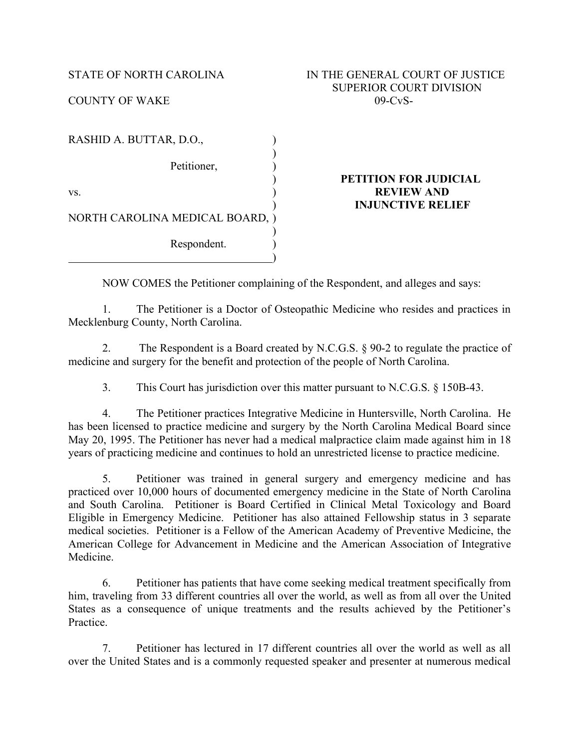| RASHID A. BUTTAR, D.O.,         |  |
|---------------------------------|--|
| Petitioner,                     |  |
| VS.                             |  |
| NORTH CAROLINA MEDICAL BOARD, ) |  |
| Respondent.                     |  |

## ) **PETITION FOR JUDICIAL REVIEW AND** ) **INJUNCTIVE RELIEF**

NOW COMES the Petitioner complaining of the Respondent, and alleges and says:

1. The Petitioner is a Doctor of Osteopathic Medicine who resides and practices in Mecklenburg County, North Carolina.

2. The Respondent is a Board created by N.C.G.S. § 90-2 to regulate the practice of medicine and surgery for the benefit and protection of the people of North Carolina.

3. This Court has jurisdiction over this matter pursuant to N.C.G.S. § 150B-43.

4. The Petitioner practices Integrative Medicine in Huntersville, North Carolina. He has been licensed to practice medicine and surgery by the North Carolina Medical Board since May 20, 1995. The Petitioner has never had a medical malpractice claim made against him in 18 years of practicing medicine and continues to hold an unrestricted license to practice medicine.

5. Petitioner was trained in general surgery and emergency medicine and has practiced over 10,000 hours of documented emergency medicine in the State of North Carolina and South Carolina. Petitioner is Board Certified in Clinical Metal Toxicology and Board Eligible in Emergency Medicine. Petitioner has also attained Fellowship status in 3 separate medical societies. Petitioner is a Fellow of the American Academy of Preventive Medicine, the American College for Advancement in Medicine and the American Association of Integrative Medicine.

6. Petitioner has patients that have come seeking medical treatment specifically from him, traveling from 33 different countries all over the world, as well as from all over the United States as a consequence of unique treatments and the results achieved by the Petitioner's Practice.

7. Petitioner has lectured in 17 different countries all over the world as well as all over the United States and is a commonly requested speaker and presenter at numerous medical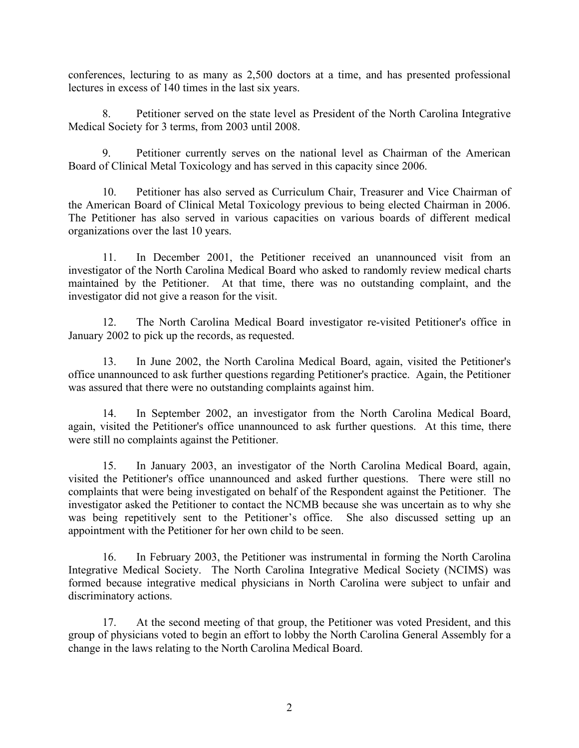conferences, lecturing to as many as 2,500 doctors at a time, and has presented professional lectures in excess of 140 times in the last six years.

8. Petitioner served on the state level as President of the North Carolina Integrative Medical Society for 3 terms, from 2003 until 2008.

9. Petitioner currently serves on the national level as Chairman of the American Board of Clinical Metal Toxicology and has served in this capacity since 2006.

10. Petitioner has also served as Curriculum Chair, Treasurer and Vice Chairman of the American Board of Clinical Metal Toxicology previous to being elected Chairman in 2006. The Petitioner has also served in various capacities on various boards of different medical organizations over the last 10 years.

11. In December 2001, the Petitioner received an unannounced visit from an investigator of the North Carolina Medical Board who asked to randomly review medical charts maintained by the Petitioner. At that time, there was no outstanding complaint, and the investigator did not give a reason for the visit.

12. The North Carolina Medical Board investigator re-visited Petitioner's office in January 2002 to pick up the records, as requested.

13. In June 2002, the North Carolina Medical Board, again, visited the Petitioner's office unannounced to ask further questions regarding Petitioner's practice. Again, the Petitioner was assured that there were no outstanding complaints against him.

14. In September 2002, an investigator from the North Carolina Medical Board, again, visited the Petitioner's office unannounced to ask further questions. At this time, there were still no complaints against the Petitioner.

15. In January 2003, an investigator of the North Carolina Medical Board, again, visited the Petitioner's office unannounced and asked further questions. There were still no complaints that were being investigated on behalf of the Respondent against the Petitioner. The investigator asked the Petitioner to contact the NCMB because she was uncertain as to why she was being repetitively sent to the Petitioner's office. She also discussed setting up an appointment with the Petitioner for her own child to be seen.

16. In February 2003, the Petitioner was instrumental in forming the North Carolina Integrative Medical Society. The North Carolina Integrative Medical Society (NCIMS) was formed because integrative medical physicians in North Carolina were subject to unfair and discriminatory actions.

17. At the second meeting of that group, the Petitioner was voted President, and this group of physicians voted to begin an effort to lobby the North Carolina General Assembly for a change in the laws relating to the North Carolina Medical Board.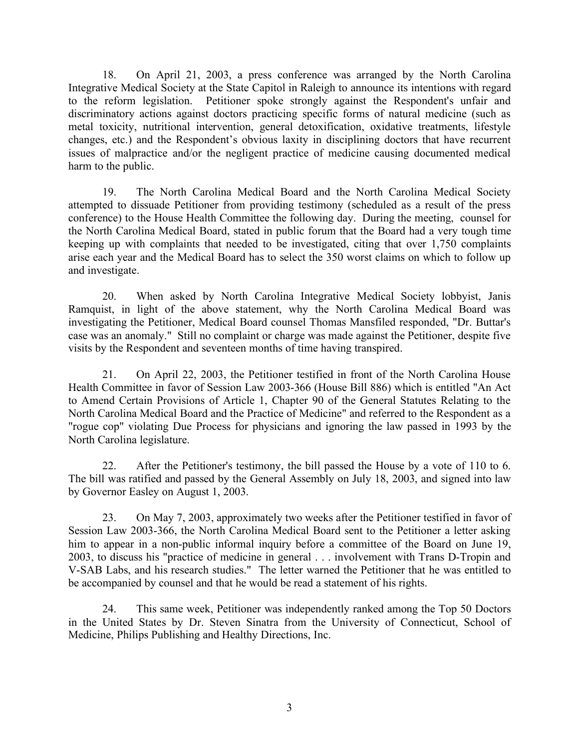18. On April 21, 2003, a press conference was arranged by the North Carolina Integrative Medical Society at the State Capitol in Raleigh to announce its intentions with regard to the reform legislation. Petitioner spoke strongly against the Respondent's unfair and discriminatory actions against doctors practicing specific forms of natural medicine (such as metal toxicity, nutritional intervention, general detoxification, oxidative treatments, lifestyle changes, etc.) and the Respondent's obvious laxity in disciplining doctors that have recurrent issues of malpractice and/or the negligent practice of medicine causing documented medical harm to the public.

19. The North Carolina Medical Board and the North Carolina Medical Society attempted to dissuade Petitioner from providing testimony (scheduled as a result of the press conference) to the House Health Committee the following day. During the meeting, counsel for the North Carolina Medical Board, stated in public forum that the Board had a very tough time keeping up with complaints that needed to be investigated, citing that over 1,750 complaints arise each year and the Medical Board has to select the 350 worst claims on which to follow up and investigate.

20. When asked by North Carolina Integrative Medical Society lobbyist, Janis Ramquist, in light of the above statement, why the North Carolina Medical Board was investigating the Petitioner, Medical Board counsel Thomas Mansfiled responded, "Dr. Buttar's case was an anomaly." Still no complaint or charge was made against the Petitioner, despite five visits by the Respondent and seventeen months of time having transpired.

21. On April 22, 2003, the Petitioner testified in front of the North Carolina House Health Committee in favor of Session Law 2003-366 (House Bill 886) which is entitled "An Act to Amend Certain Provisions of Article 1, Chapter 90 of the General Statutes Relating to the North Carolina Medical Board and the Practice of Medicine" and referred to the Respondent as a "rogue cop" violating Due Process for physicians and ignoring the law passed in 1993 by the North Carolina legislature.

22. After the Petitioner's testimony, the bill passed the House by a vote of 110 to 6. The bill was ratified and passed by the General Assembly on July 18, 2003, and signed into law by Governor Easley on August 1, 2003.

23. On May 7, 2003, approximately two weeks after the Petitioner testified in favor of Session Law 2003-366, the North Carolina Medical Board sent to the Petitioner a letter asking him to appear in a non-public informal inquiry before a committee of the Board on June 19, 2003, to discuss his "practice of medicine in general . . . involvement with Trans D-Tropin and V-SAB Labs, and his research studies." The letter warned the Petitioner that he was entitled to be accompanied by counsel and that he would be read a statement of his rights.

24. This same week, Petitioner was independently ranked among the Top 50 Doctors in the United States by Dr. Steven Sinatra from the University of Connecticut, School of Medicine, Philips Publishing and Healthy Directions, Inc.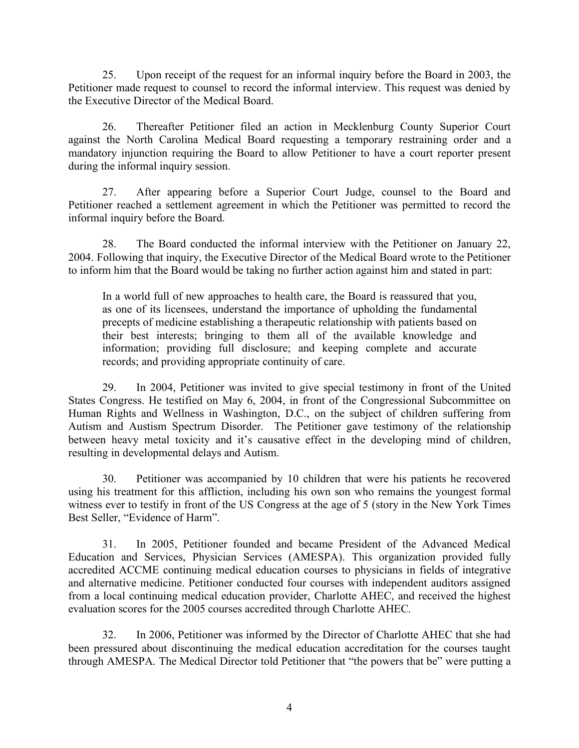25. Upon receipt of the request for an informal inquiry before the Board in 2003, the Petitioner made request to counsel to record the informal interview. This request was denied by the Executive Director of the Medical Board.

26. Thereafter Petitioner filed an action in Mecklenburg County Superior Court against the North Carolina Medical Board requesting a temporary restraining order and a mandatory injunction requiring the Board to allow Petitioner to have a court reporter present during the informal inquiry session.

27. After appearing before a Superior Court Judge, counsel to the Board and Petitioner reached a settlement agreement in which the Petitioner was permitted to record the informal inquiry before the Board.

28. The Board conducted the informal interview with the Petitioner on January 22, 2004. Following that inquiry, the Executive Director of the Medical Board wrote to the Petitioner to inform him that the Board would be taking no further action against him and stated in part:

In a world full of new approaches to health care, the Board is reassured that you, as one of its licensees, understand the importance of upholding the fundamental precepts of medicine establishing a therapeutic relationship with patients based on their best interests; bringing to them all of the available knowledge and information; providing full disclosure; and keeping complete and accurate records; and providing appropriate continuity of care.

29. In 2004, Petitioner was invited to give special testimony in front of the United States Congress. He testified on May 6, 2004, in front of the Congressional Subcommittee on Human Rights and Wellness in Washington, D.C., on the subject of children suffering from Autism and Austism Spectrum Disorder. The Petitioner gave testimony of the relationship between heavy metal toxicity and it's causative effect in the developing mind of children, resulting in developmental delays and Autism.

30. Petitioner was accompanied by 10 children that were his patients he recovered using his treatment for this affliction, including his own son who remains the youngest formal witness ever to testify in front of the US Congress at the age of 5 (story in the New York Times Best Seller, "Evidence of Harm".

31. In 2005, Petitioner founded and became President of the Advanced Medical Education and Services, Physician Services (AMESPA). This organization provided fully accredited ACCME continuing medical education courses to physicians in fields of integrative and alternative medicine. Petitioner conducted four courses with independent auditors assigned from a local continuing medical education provider, Charlotte AHEC, and received the highest evaluation scores for the 2005 courses accredited through Charlotte AHEC.

32. In 2006, Petitioner was informed by the Director of Charlotte AHEC that she had been pressured about discontinuing the medical education accreditation for the courses taught through AMESPA. The Medical Director told Petitioner that "the powers that be" were putting a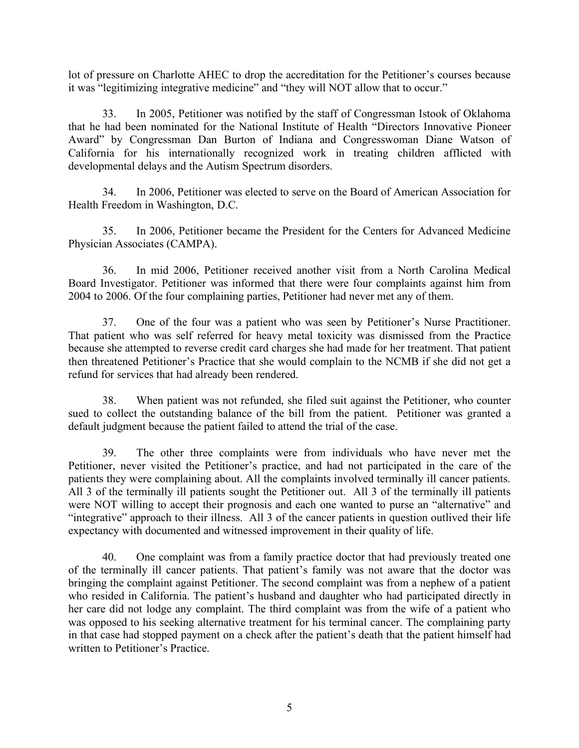lot of pressure on Charlotte AHEC to drop the accreditation for the Petitioner's courses because it was "legitimizing integrative medicine" and "they will NOT allow that to occur."

33. In 2005, Petitioner was notified by the staff of Congressman Istook of Oklahoma that he had been nominated for the National Institute of Health "Directors Innovative Pioneer Award" by Congressman Dan Burton of Indiana and Congresswoman Diane Watson of California for his internationally recognized work in treating children afflicted with developmental delays and the Autism Spectrum disorders.

34. In 2006, Petitioner was elected to serve on the Board of American Association for Health Freedom in Washington, D.C.

35. In 2006, Petitioner became the President for the Centers for Advanced Medicine Physician Associates (CAMPA).

36. In mid 2006, Petitioner received another visit from a North Carolina Medical Board Investigator. Petitioner was informed that there were four complaints against him from 2004 to 2006. Of the four complaining parties, Petitioner had never met any of them.

37. One of the four was a patient who was seen by Petitioner's Nurse Practitioner. That patient who was self referred for heavy metal toxicity was dismissed from the Practice because she attempted to reverse credit card charges she had made for her treatment. That patient then threatened Petitioner's Practice that she would complain to the NCMB if she did not get a refund for services that had already been rendered.

38. When patient was not refunded, she filed suit against the Petitioner, who counter sued to collect the outstanding balance of the bill from the patient. Petitioner was granted a default judgment because the patient failed to attend the trial of the case.

39. The other three complaints were from individuals who have never met the Petitioner, never visited the Petitioner's practice, and had not participated in the care of the patients they were complaining about. All the complaints involved terminally ill cancer patients. All 3 of the terminally ill patients sought the Petitioner out. All 3 of the terminally ill patients were NOT willing to accept their prognosis and each one wanted to purse an "alternative" and "integrative" approach to their illness. All 3 of the cancer patients in question outlived their life expectancy with documented and witnessed improvement in their quality of life.

40. One complaint was from a family practice doctor that had previously treated one of the terminally ill cancer patients. That patient's family was not aware that the doctor was bringing the complaint against Petitioner. The second complaint was from a nephew of a patient who resided in California. The patient's husband and daughter who had participated directly in her care did not lodge any complaint. The third complaint was from the wife of a patient who was opposed to his seeking alternative treatment for his terminal cancer. The complaining party in that case had stopped payment on a check after the patient's death that the patient himself had written to Petitioner's Practice.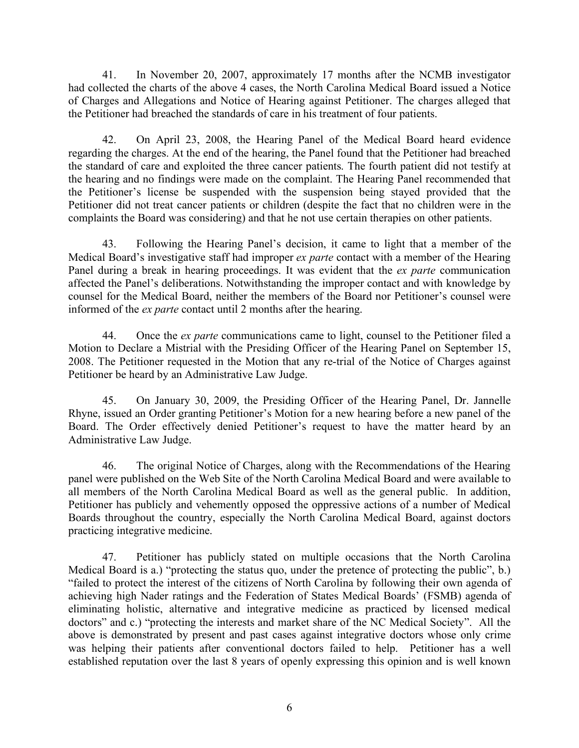41. In November 20, 2007, approximately 17 months after the NCMB investigator had collected the charts of the above 4 cases, the North Carolina Medical Board issued a Notice of Charges and Allegations and Notice of Hearing against Petitioner. The charges alleged that the Petitioner had breached the standards of care in his treatment of four patients.

42. On April 23, 2008, the Hearing Panel of the Medical Board heard evidence regarding the charges. At the end of the hearing, the Panel found that the Petitioner had breached the standard of care and exploited the three cancer patients. The fourth patient did not testify at the hearing and no findings were made on the complaint. The Hearing Panel recommended that the Petitioner's license be suspended with the suspension being stayed provided that the Petitioner did not treat cancer patients or children (despite the fact that no children were in the complaints the Board was considering) and that he not use certain therapies on other patients.

43. Following the Hearing Panel's decision, it came to light that a member of the Medical Board's investigative staff had improper *ex parte* contact with a member of the Hearing Panel during a break in hearing proceedings. It was evident that the *ex parte* communication affected the Panel's deliberations. Notwithstanding the improper contact and with knowledge by counsel for the Medical Board, neither the members of the Board nor Petitioner's counsel were informed of the *ex parte* contact until 2 months after the hearing.

44. Once the *ex parte* communications came to light, counsel to the Petitioner filed a Motion to Declare a Mistrial with the Presiding Officer of the Hearing Panel on September 15, 2008. The Petitioner requested in the Motion that any re-trial of the Notice of Charges against Petitioner be heard by an Administrative Law Judge.

45. On January 30, 2009, the Presiding Officer of the Hearing Panel, Dr. Jannelle Rhyne, issued an Order granting Petitioner's Motion for a new hearing before a new panel of the Board. The Order effectively denied Petitioner's request to have the matter heard by an Administrative Law Judge.

46. The original Notice of Charges, along with the Recommendations of the Hearing panel were published on the Web Site of the North Carolina Medical Board and were available to all members of the North Carolina Medical Board as well as the general public. In addition, Petitioner has publicly and vehemently opposed the oppressive actions of a number of Medical Boards throughout the country, especially the North Carolina Medical Board, against doctors practicing integrative medicine.

47. Petitioner has publicly stated on multiple occasions that the North Carolina Medical Board is a.) "protecting the status quo, under the pretence of protecting the public", b.) "failed to protect the interest of the citizens of North Carolina by following their own agenda of achieving high Nader ratings and the Federation of States Medical Boards' (FSMB) agenda of eliminating holistic, alternative and integrative medicine as practiced by licensed medical doctors" and c.) "protecting the interests and market share of the NC Medical Society". All the above is demonstrated by present and past cases against integrative doctors whose only crime was helping their patients after conventional doctors failed to help. Petitioner has a well established reputation over the last 8 years of openly expressing this opinion and is well known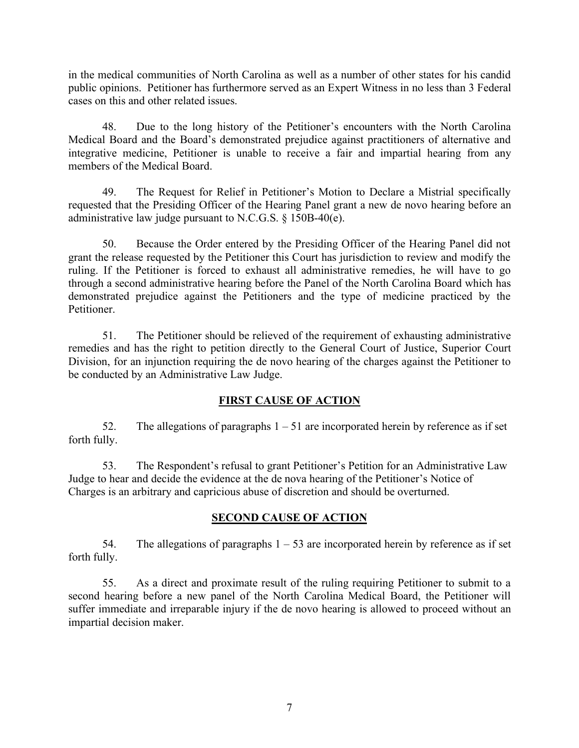in the medical communities of North Carolina as well as a number of other states for his candid public opinions. Petitioner has furthermore served as an Expert Witness in no less than 3 Federal cases on this and other related issues.

48. Due to the long history of the Petitioner's encounters with the North Carolina Medical Board and the Board's demonstrated prejudice against practitioners of alternative and integrative medicine, Petitioner is unable to receive a fair and impartial hearing from any members of the Medical Board.

49. The Request for Relief in Petitioner's Motion to Declare a Mistrial specifically requested that the Presiding Officer of the Hearing Panel grant a new de novo hearing before an administrative law judge pursuant to N.C.G.S. § 150B-40(e).

50. Because the Order entered by the Presiding Officer of the Hearing Panel did not grant the release requested by the Petitioner this Court has jurisdiction to review and modify the ruling. If the Petitioner is forced to exhaust all administrative remedies, he will have to go through a second administrative hearing before the Panel of the North Carolina Board which has demonstrated prejudice against the Petitioners and the type of medicine practiced by the **Petitioner** 

51. The Petitioner should be relieved of the requirement of exhausting administrative remedies and has the right to petition directly to the General Court of Justice, Superior Court Division, for an injunction requiring the de novo hearing of the charges against the Petitioner to be conducted by an Administrative Law Judge.

## **FIRST CAUSE OF ACTION**

52. The allegations of paragraphs  $1 - 51$  are incorporated herein by reference as if set forth fully.

53. The Respondent's refusal to grant Petitioner's Petition for an Administrative Law Judge to hear and decide the evidence at the de nova hearing of the Petitioner's Notice of Charges is an arbitrary and capricious abuse of discretion and should be overturned.

# **SECOND CAUSE OF ACTION**

54. The allegations of paragraphs  $1 - 53$  are incorporated herein by reference as if set forth fully.

55. As a direct and proximate result of the ruling requiring Petitioner to submit to a second hearing before a new panel of the North Carolina Medical Board, the Petitioner will suffer immediate and irreparable injury if the de novo hearing is allowed to proceed without an impartial decision maker.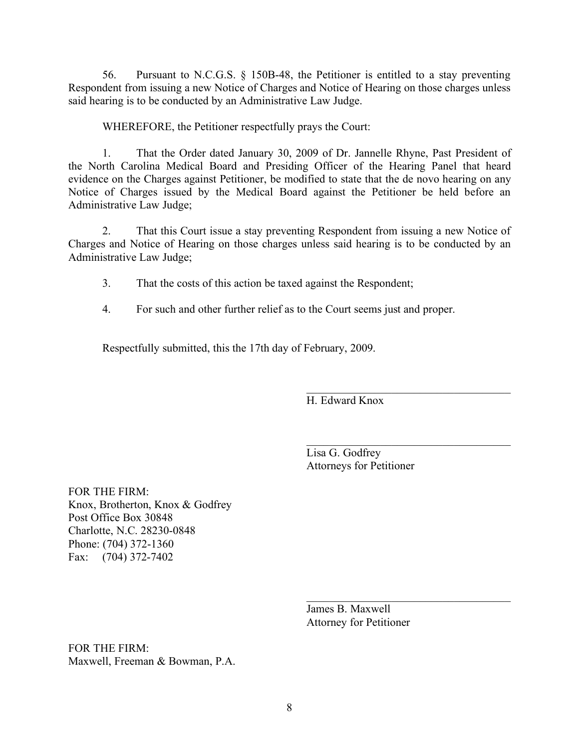56. Pursuant to N.C.G.S. § 150B-48, the Petitioner is entitled to a stay preventing Respondent from issuing a new Notice of Charges and Notice of Hearing on those charges unless said hearing is to be conducted by an Administrative Law Judge.

WHEREFORE, the Petitioner respectfully prays the Court:

1. That the Order dated January 30, 2009 of Dr. Jannelle Rhyne, Past President of the North Carolina Medical Board and Presiding Officer of the Hearing Panel that heard evidence on the Charges against Petitioner, be modified to state that the de novo hearing on any Notice of Charges issued by the Medical Board against the Petitioner be held before an Administrative Law Judge;

2. That this Court issue a stay preventing Respondent from issuing a new Notice of Charges and Notice of Hearing on those charges unless said hearing is to be conducted by an Administrative Law Judge;

3. That the costs of this action be taxed against the Respondent;

4. For such and other further relief as to the Court seems just and proper.

Respectfully submitted, this the 17th day of February, 2009.

H. Edward Knox

 $\mathcal{L}_\text{max}$  , and the set of the set of the set of the set of the set of the set of the set of the set of the set of the set of the set of the set of the set of the set of the set of the set of the set of the set of the Lisa G. Godfrey Attorneys for Petitioner

 $\mathcal{L}_\text{max}$ 

 $\mathcal{L}_\text{max}$ 

FOR THE FIRM: Knox, Brotherton, Knox & Godfrey Post Office Box 30848 Charlotte, N.C. 28230-0848 Phone: (704) 372-1360 Fax: (704) 372-7402

> James B. Maxwell Attorney for Petitioner

FOR THE FIRM: Maxwell, Freeman & Bowman, P.A.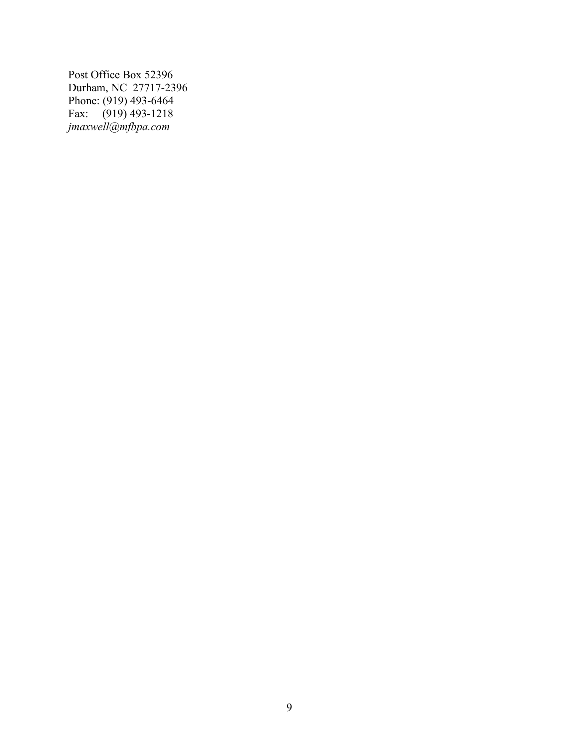Post Office Box 52396 Durham, NC 27717-2396 Phone: (919) 493-6464 Fax: (919) 493-1218 *jmaxwell@mfbpa.com*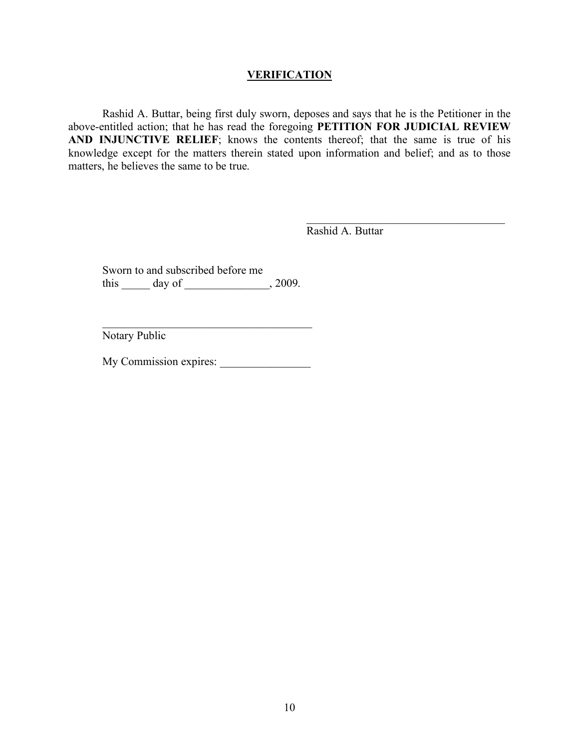### **VERIFICATION**

Rashid A. Buttar, being first duly sworn, deposes and says that he is the Petitioner in the above-entitled action; that he has read the foregoing **PETITION FOR JUDICIAL REVIEW AND INJUNCTIVE RELIEF**; knows the contents thereof; that the same is true of his knowledge except for the matters therein stated upon information and belief; and as to those matters, he believes the same to be true.

Rashid A. Buttar

 $\mathcal{L}_\text{max}$  , and the set of the set of the set of the set of the set of the set of the set of the set of the set of the set of the set of the set of the set of the set of the set of the set of the set of the set of the

Sworn to and subscribed before me this \_\_\_\_\_\_ day of \_\_\_\_\_\_\_\_\_\_\_\_\_\_, 2009.

Notary Public

My Commission expires:

 $\mathcal{L}_\text{max}$  , and the set of the set of the set of the set of the set of the set of the set of the set of the set of the set of the set of the set of the set of the set of the set of the set of the set of the set of the